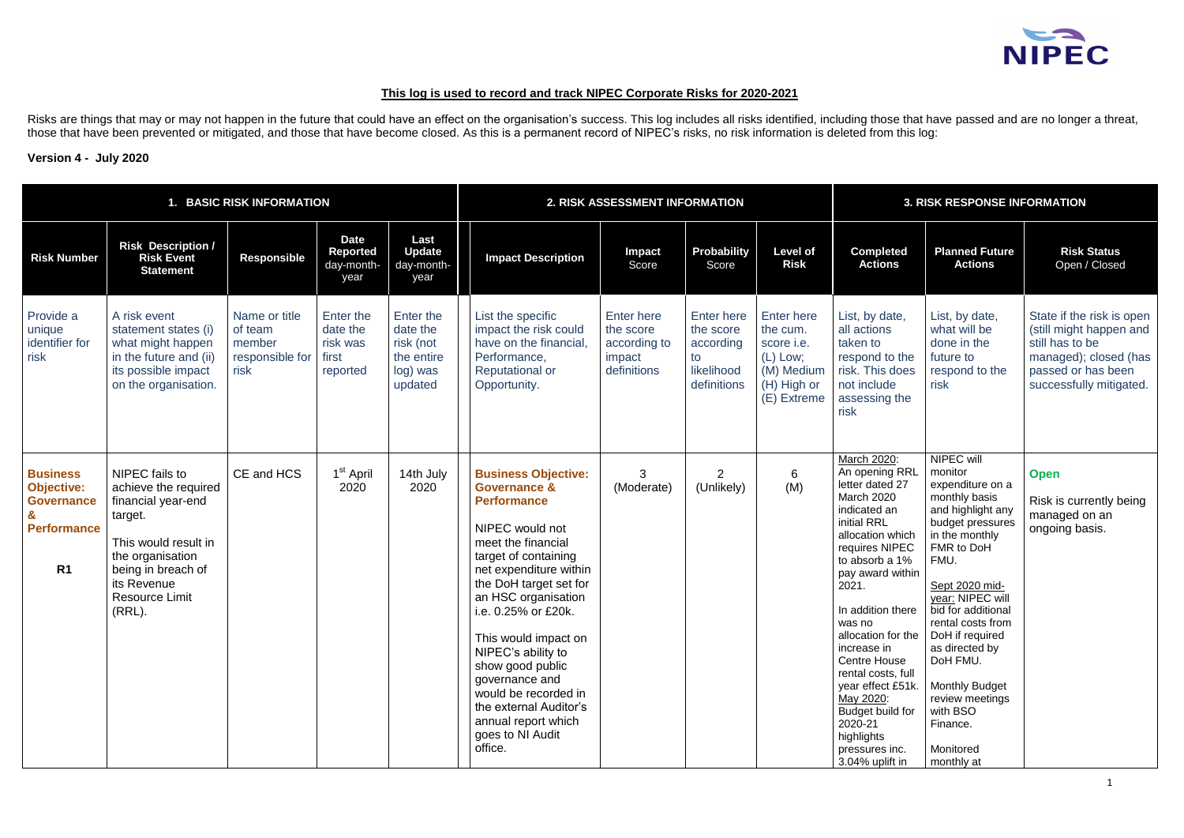# **This log is used to record and track NIPEC Corporate Risks for 2020-2021**

Risks are things that may or may not happen in the future that could have an effect on the organisation's success. This log includes all risks identified, including those that have passed and are no longer a threat, those that have been prevented or mitigated, and those that have become closed. As this is a permanent record of NIPEC's risks, no risk information is deleted from this log:

## **Version 4 - July 2020**

|                                                                                                                   | <b>BASIC RISK INFORMATION</b>                                                                                                                                                                  |                                                               |                                                        |                                                                         |                                                                                                                                                                                                                                                                                                                                                                                                                                            | 2. RISK ASSESSMENT INFORMATION                                          |                                                                         |                                                                                                       |                                                                                                                                                                                                                                                                                                                                                                                                                                           | <b>3. RISK RESPONSE INFORMATION</b>                                                                                                                                                                                                                                                                                                                       |                                                                                                                                                   |  |  |
|-------------------------------------------------------------------------------------------------------------------|------------------------------------------------------------------------------------------------------------------------------------------------------------------------------------------------|---------------------------------------------------------------|--------------------------------------------------------|-------------------------------------------------------------------------|--------------------------------------------------------------------------------------------------------------------------------------------------------------------------------------------------------------------------------------------------------------------------------------------------------------------------------------------------------------------------------------------------------------------------------------------|-------------------------------------------------------------------------|-------------------------------------------------------------------------|-------------------------------------------------------------------------------------------------------|-------------------------------------------------------------------------------------------------------------------------------------------------------------------------------------------------------------------------------------------------------------------------------------------------------------------------------------------------------------------------------------------------------------------------------------------|-----------------------------------------------------------------------------------------------------------------------------------------------------------------------------------------------------------------------------------------------------------------------------------------------------------------------------------------------------------|---------------------------------------------------------------------------------------------------------------------------------------------------|--|--|
| <b>Risk Number</b>                                                                                                | <b>Risk Description /</b><br><b>Risk Event</b><br><b>Statement</b>                                                                                                                             | <b>Responsible</b>                                            | <b>Date</b><br><b>Reported</b><br>day-month-<br>year   | Last<br><b>Update</b><br>day-month-<br>year                             | <b>Impact Description</b>                                                                                                                                                                                                                                                                                                                                                                                                                  | Impact<br>Score                                                         | Probability<br>Score                                                    | <b>Level of</b><br><b>Risk</b>                                                                        | <b>Completed</b><br><b>Actions</b>                                                                                                                                                                                                                                                                                                                                                                                                        | <b>Planned Future</b><br><b>Actions</b>                                                                                                                                                                                                                                                                                                                   | <b>Risk Status</b><br>Open / Closed                                                                                                               |  |  |
| Provide a<br>unique<br>identifier for<br>risk                                                                     | A risk event<br>statement states (i)<br>what might happen<br>in the future and (ii)<br>its possible impact<br>on the organisation.                                                             | Name or title<br>of team<br>member<br>responsible for<br>risk | Enter the<br>date the<br>risk was<br>first<br>reported | Enter the<br>date the<br>risk (not<br>the entire<br>log) was<br>updated | List the specific<br>impact the risk could<br>have on the financial,<br>Performance,<br>Reputational or<br>Opportunity.                                                                                                                                                                                                                                                                                                                    | <b>Enter here</b><br>the score<br>according to<br>impact<br>definitions | Enter here<br>the score<br>according<br>to<br>likelihood<br>definitions | <b>Enter here</b><br>the cum.<br>score i.e.<br>$(L)$ Low;<br>(M) Medium<br>(H) High or<br>(E) Extreme | List, by date,<br>all actions<br>taken to<br>respond to the<br>risk. This does<br>not include<br>assessing the<br>risk                                                                                                                                                                                                                                                                                                                    | List, by date,<br>what will be<br>done in the<br>future to<br>respond to the<br>risk                                                                                                                                                                                                                                                                      | State if the risk is open<br>(still might happen and<br>still has to be<br>managed); closed (has<br>passed or has been<br>successfully mitigated. |  |  |
| <b>Business</b><br><b>Objective:</b><br><b>Governance</b><br>$\mathbf{g}$<br><b>Performance</b><br>R <sub>1</sub> | NIPEC fails to<br>achieve the required<br>financial year-end<br>target.<br>This would result in<br>the organisation<br>being in breach of<br>its Revenue<br><b>Resource Limit</b><br>$(RRL)$ . | CE and HCS                                                    | 1 <sup>st</sup> April<br>2020                          | 14th July<br>2020                                                       | <b>Business Objective:</b><br><b>Governance &amp;</b><br><b>Performance</b><br>NIPEC would not<br>meet the financial<br>target of containing<br>net expenditure within<br>the DoH target set for<br>an HSC organisation<br>i.e. 0.25% or £20k.<br>This would impact on<br>NIPEC's ability to<br>show good public<br>governance and<br>would be recorded in<br>the external Auditor's<br>annual report which<br>goes to NI Audit<br>office. | 3<br>(Moderate)                                                         | $\overline{2}$<br>(Unlikely)                                            | 6<br>(M)                                                                                              | March 2020:<br>An opening RRL<br>letter dated 27<br><b>March 2020</b><br>indicated an<br>initial RRL<br>allocation which<br>requires NIPEC<br>to absorb a 1%<br>pay award within<br>2021.<br>In addition there<br>was no<br>allocation for the   DoH if required<br>increase in<br>Centre House<br>rental costs, full<br>year effect £51k.<br>May 2020:<br>Budget build for<br>2020-21<br>highlights<br>pressures inc.<br>3.04% uplift in | NIPEC will<br>monitor<br>expenditure on a<br>monthly basis<br>and highlight any<br>budget pressures<br>in the monthly<br>FMR to DoH<br>FMU.<br>Sept 2020 mid-<br>year: NIPEC will<br>bid for additional<br>rental costs from<br>as directed by<br>DoH FMU.<br><b>Monthly Budget</b><br>review meetings<br>with BSO<br>Finance.<br>Monitored<br>monthly at | <b>Open</b><br>Risk is currently being<br>managed on an<br>ongoing basis.                                                                         |  |  |

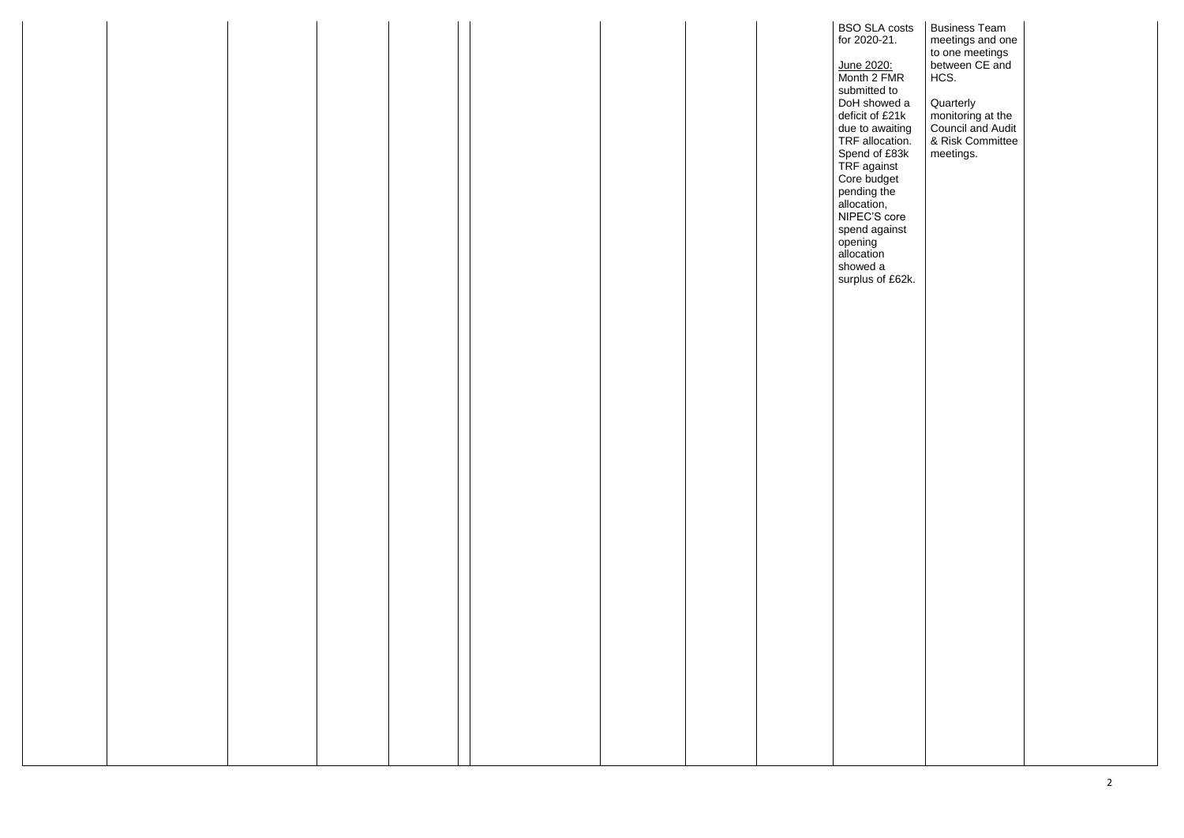|  |  |  |  |  | <b>BSO SLA costs</b><br>for 2020-21.                                                                                                                                                                                                                                                      |
|--|--|--|--|--|-------------------------------------------------------------------------------------------------------------------------------------------------------------------------------------------------------------------------------------------------------------------------------------------|
|  |  |  |  |  | June 2020:<br>Month 2 FMR<br>submitted to<br>DoH showed a<br>deficit of £21k<br>due to awaiting<br>TRF allocation.<br>Spend of £83k<br>TRF against<br>Core budget<br>pending the<br>allocation,<br>NIPEC'S core<br>spend against<br>opening<br>allocation<br>showed a<br>surplus of £62k. |
|  |  |  |  |  |                                                                                                                                                                                                                                                                                           |
|  |  |  |  |  |                                                                                                                                                                                                                                                                                           |
|  |  |  |  |  |                                                                                                                                                                                                                                                                                           |
|  |  |  |  |  |                                                                                                                                                                                                                                                                                           |
|  |  |  |  |  |                                                                                                                                                                                                                                                                                           |
|  |  |  |  |  |                                                                                                                                                                                                                                                                                           |

| A costs<br>21.<br><u>:0:</u><br>FMR<br>d to                                               | <b>Business Team</b><br>meetings and one<br>to one meetings<br>between CE and<br>HCS.       |  |
|-------------------------------------------------------------------------------------------|---------------------------------------------------------------------------------------------|--|
| wed a<br>£21k<br>vaiting<br>cation.<br>£83k<br>inst<br>lget<br>:he<br>١,<br>core<br>ainst | Quarterly<br>monitoring at the<br><b>Council and Audit</b><br>& Risk Committee<br>meetings. |  |
| Ì<br>ì<br>f £62k.                                                                         |                                                                                             |  |
|                                                                                           |                                                                                             |  |
|                                                                                           |                                                                                             |  |
|                                                                                           |                                                                                             |  |
|                                                                                           |                                                                                             |  |
|                                                                                           |                                                                                             |  |
|                                                                                           |                                                                                             |  |
|                                                                                           |                                                                                             |  |
|                                                                                           |                                                                                             |  |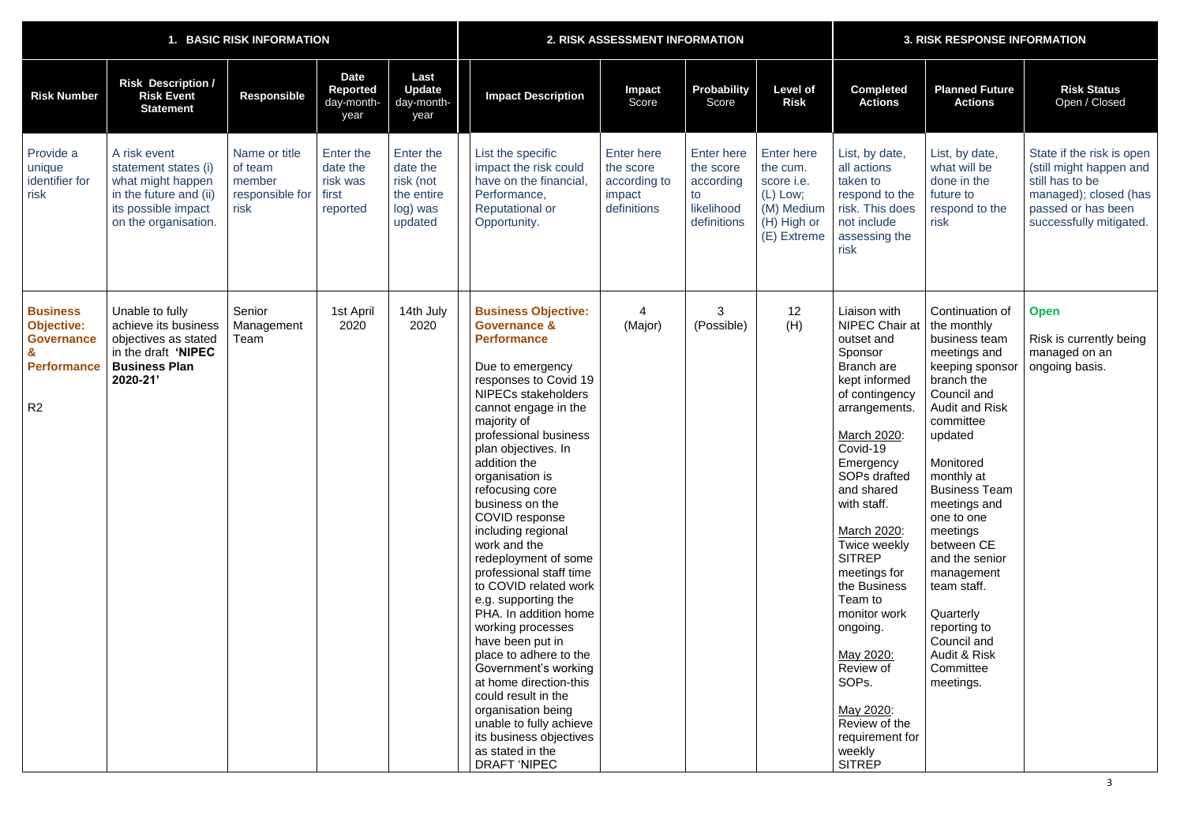| 1. BASIC RISK INFORMATION                                                                         |                                                                                                                                    |                                                               |                                                        |                                                                         | 2. RISK ASSESSMENT INFORMATION                                                                                                                                                                                                                                                                                                                                                                                                                                                                                                                                                                                                                                                                                                                                                |                                                                         |                                                                                | <b>3. RISK RESPONSE INFORMATION</b>                                                                   |                                                                                                                                                                                                                                                                                                                                                                                                                                                             |                                                                                                                                                                                                                                                                                                                                                                                                                  |                                                                                                                                                   |
|---------------------------------------------------------------------------------------------------|------------------------------------------------------------------------------------------------------------------------------------|---------------------------------------------------------------|--------------------------------------------------------|-------------------------------------------------------------------------|-------------------------------------------------------------------------------------------------------------------------------------------------------------------------------------------------------------------------------------------------------------------------------------------------------------------------------------------------------------------------------------------------------------------------------------------------------------------------------------------------------------------------------------------------------------------------------------------------------------------------------------------------------------------------------------------------------------------------------------------------------------------------------|-------------------------------------------------------------------------|--------------------------------------------------------------------------------|-------------------------------------------------------------------------------------------------------|-------------------------------------------------------------------------------------------------------------------------------------------------------------------------------------------------------------------------------------------------------------------------------------------------------------------------------------------------------------------------------------------------------------------------------------------------------------|------------------------------------------------------------------------------------------------------------------------------------------------------------------------------------------------------------------------------------------------------------------------------------------------------------------------------------------------------------------------------------------------------------------|---------------------------------------------------------------------------------------------------------------------------------------------------|
| <b>Risk Number</b>                                                                                | <b>Risk Description /</b><br><b>Risk Event</b><br><b>Statement</b>                                                                 | Responsible                                                   | <b>Date</b><br>Reported<br>day-month-<br>year          | Last<br><b>Update</b><br>day-month-<br>year                             | <b>Impact Description</b>                                                                                                                                                                                                                                                                                                                                                                                                                                                                                                                                                                                                                                                                                                                                                     | Impact<br>Score                                                         | Probability<br>Score                                                           | <b>Level of</b><br><b>Risk</b>                                                                        | <b>Completed</b><br><b>Actions</b>                                                                                                                                                                                                                                                                                                                                                                                                                          | <b>Planned Future</b><br><b>Actions</b>                                                                                                                                                                                                                                                                                                                                                                          | <b>Risk Status</b><br>Open / Closed                                                                                                               |
| Provide a<br>unique<br>identifier for<br>risk                                                     | A risk event<br>statement states (i)<br>what might happen<br>in the future and (ii)<br>its possible impact<br>on the organisation. | Name or title<br>of team<br>member<br>responsible for<br>risk | Enter the<br>date the<br>risk was<br>first<br>reported | Enter the<br>date the<br>risk (not<br>the entire<br>log) was<br>updated | List the specific<br>impact the risk could<br>have on the financial<br>Performance,<br><b>Reputational or</b><br>Opportunity.                                                                                                                                                                                                                                                                                                                                                                                                                                                                                                                                                                                                                                                 | <b>Enter here</b><br>the score<br>according to<br>impact<br>definitions | <b>Enter here</b><br>the score<br>according<br>to<br>likelihood<br>definitions | <b>Enter here</b><br>the cum.<br>score i.e.<br>$(L)$ Low;<br>(M) Medium<br>(H) High or<br>(E) Extreme | List, by date,<br>all actions<br>taken to<br>respond to the<br>risk. This does<br>not include<br>assessing the<br>risk                                                                                                                                                                                                                                                                                                                                      | List, by date,<br>what will be<br>done in the<br>future to<br>respond to the<br>risk                                                                                                                                                                                                                                                                                                                             | State if the risk is open<br>(still might happen and<br>still has to be<br>managed); closed (has<br>passed or has been<br>successfully mitigated. |
| <b>Business</b><br><b>Objective:</b><br><b>Governance</b><br><b>Performance</b><br>R <sub>2</sub> | Unable to fully<br>achieve its business<br>objectives as stated<br>in the draft 'NIPEC<br><b>Business Plan</b><br>2020-21'         | Senior<br>Management<br>Team                                  | 1st April<br>2020                                      | 14th July<br>2020                                                       | <b>Business Objective:</b><br><b>Governance &amp;</b><br><b>Performance</b><br>Due to emergency<br>responses to Covid 19<br><b>NIPECs stakeholders</b><br>cannot engage in the<br>majority of<br>professional business<br>plan objectives. In<br>addition the<br>organisation is<br>refocusing core<br>business on the<br>COVID response<br>including regional<br>work and the<br>redeployment of some<br>professional staff time<br>to COVID related work<br>e.g. supporting the<br>PHA. In addition home<br>working processes<br>have been put in<br>place to adhere to the<br>Government's working<br>at home direction-this<br>could result in the<br>organisation being<br>unable to fully achieve<br>its business objectives<br>as stated in the<br><b>DRAFT 'NIPEC</b> | (Major)                                                                 | 3<br>(Possible)                                                                | 12<br>(H)                                                                                             | Liaison with<br><b>NIPEC Chair at</b><br>outset and<br>Sponsor<br>Branch are<br>kept informed<br>of contingency<br>arrangements.<br>March 2020:<br>Covid-19<br>Emergency<br>SOPs drafted<br>and shared<br>with staff.<br>March 2020:<br>Twice weekly<br><b>SITREP</b><br>meetings for<br>the Business<br>Team to<br>monitor work<br>ongoing.<br>May 2020:<br>Review of<br>SOPs.<br>May 2020:<br>Review of the<br>requirement for<br>weekly<br><b>SITREP</b> | Continuation of<br>the monthly<br>business team<br>meetings and<br>keeping sponsor<br>branch the<br>Council and<br><b>Audit and Risk</b><br>committee<br>updated<br>Monitored<br>monthly at<br><b>Business Team</b><br>meetings and<br>one to one<br>meetings<br>between CE<br>and the senior<br>management<br>team staff.<br>Quarterly<br>reporting to<br>Council and<br>Audit & Risk<br>Committee<br>meetings. | <b>Open</b><br>Risk is currently being<br>managed on an<br>ongoing basis.                                                                         |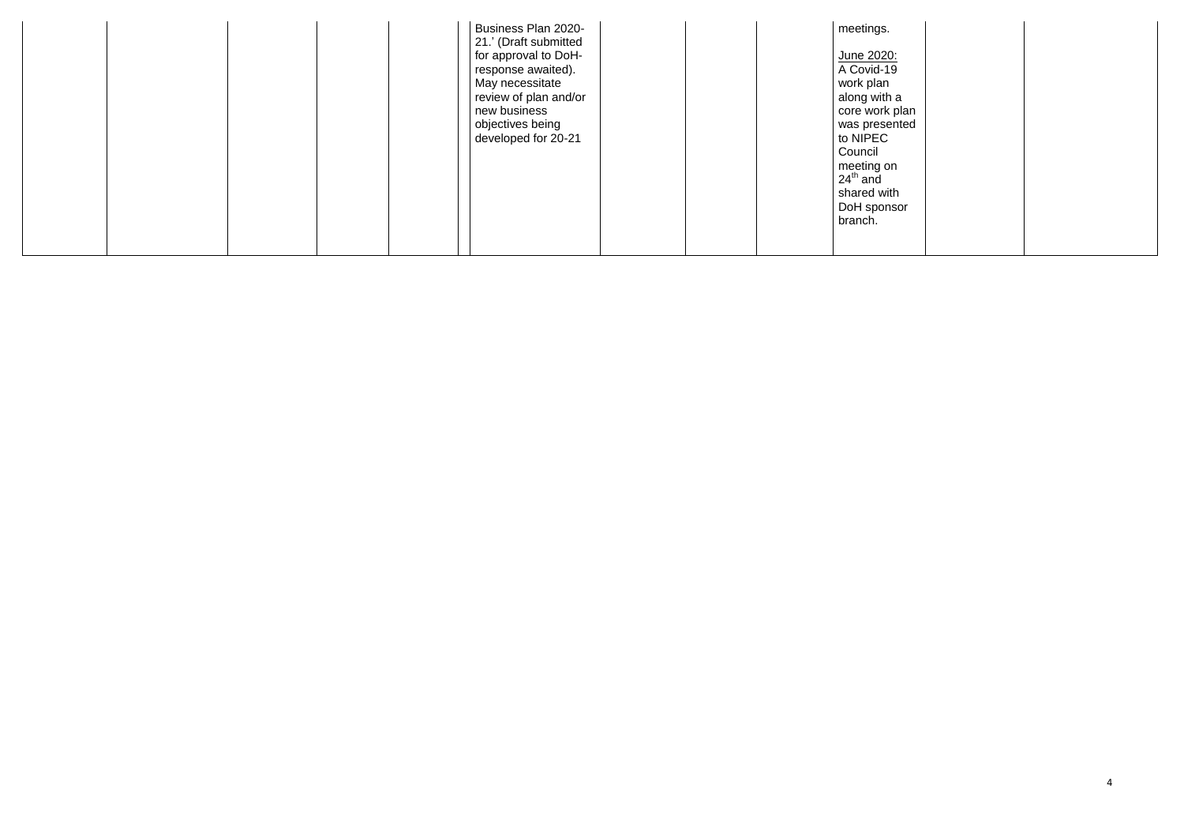|  | Business Plan 2020-<br>21.' (Draft submitted<br>for approval to DoH-<br>response awaited).<br>May necessitate<br>review of plan and/or<br>new business<br>objectives being<br>developed for 20-21 | meetings.<br>June 2020:<br>A Covid-19<br>work plan<br>along with a<br>core work plan<br>was presented<br>to NIPEC<br>Council<br>meeting on<br>$24th$ and<br>shared with<br>DoH sponsor<br>branch. |  |
|--|---------------------------------------------------------------------------------------------------------------------------------------------------------------------------------------------------|---------------------------------------------------------------------------------------------------------------------------------------------------------------------------------------------------|--|
|--|---------------------------------------------------------------------------------------------------------------------------------------------------------------------------------------------------|---------------------------------------------------------------------------------------------------------------------------------------------------------------------------------------------------|--|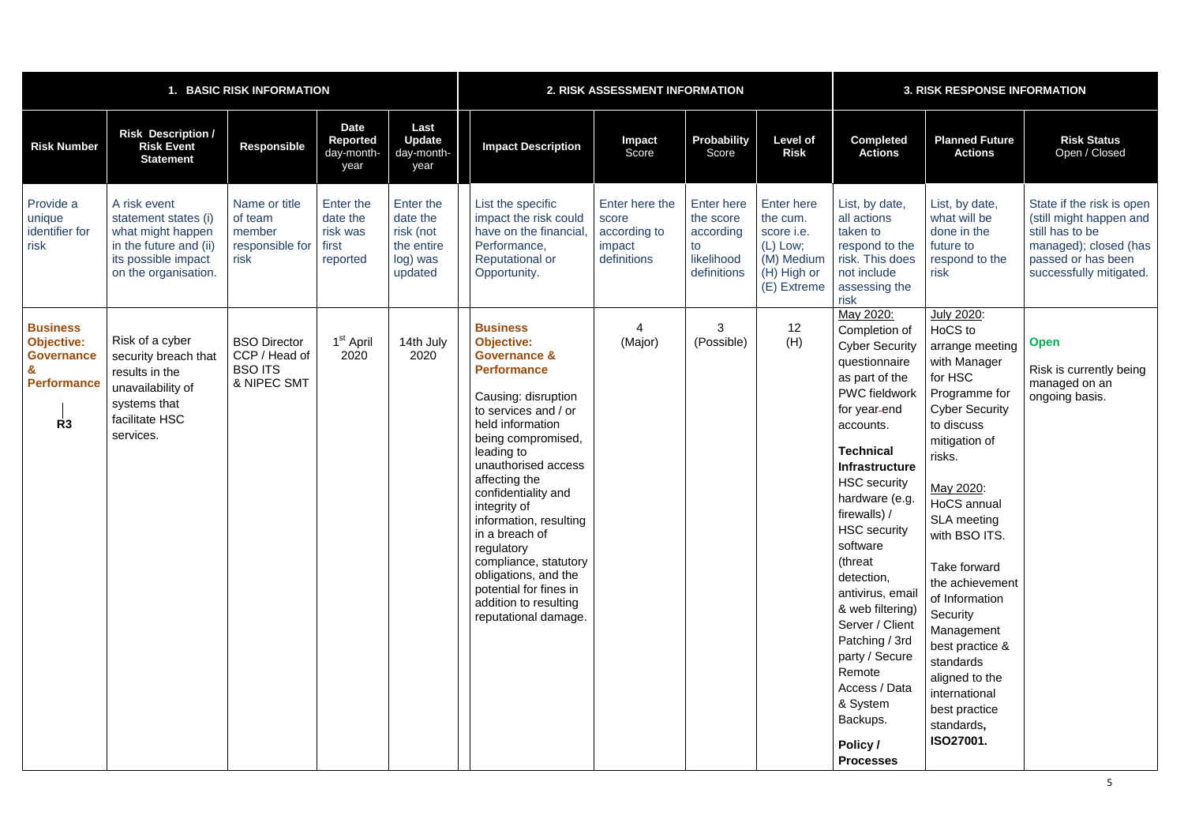| <b>BASIC RISK INFORMATION</b>                                                                                     |                                                                                                                                    |                                                                       |                                                        |                                                                         | 2. RISK ASSESSMENT INFORMATION                                                                                                                                                                                                                                                                                                                                                                                                                                    |                                                                  |                                                                                |                                                                                                | <b>3. RISK RESPONSE INFORMATION</b>                                                                                                                                                                                                                                                                                                                                                                                                                                                             |                                                                                                                                                                                                                                                                                                                                                                                                                         |                                                                                                                                                   |  |
|-------------------------------------------------------------------------------------------------------------------|------------------------------------------------------------------------------------------------------------------------------------|-----------------------------------------------------------------------|--------------------------------------------------------|-------------------------------------------------------------------------|-------------------------------------------------------------------------------------------------------------------------------------------------------------------------------------------------------------------------------------------------------------------------------------------------------------------------------------------------------------------------------------------------------------------------------------------------------------------|------------------------------------------------------------------|--------------------------------------------------------------------------------|------------------------------------------------------------------------------------------------|-------------------------------------------------------------------------------------------------------------------------------------------------------------------------------------------------------------------------------------------------------------------------------------------------------------------------------------------------------------------------------------------------------------------------------------------------------------------------------------------------|-------------------------------------------------------------------------------------------------------------------------------------------------------------------------------------------------------------------------------------------------------------------------------------------------------------------------------------------------------------------------------------------------------------------------|---------------------------------------------------------------------------------------------------------------------------------------------------|--|
| <b>Risk Number</b>                                                                                                | <b>Risk Description /</b><br><b>Risk Event</b><br><b>Statement</b>                                                                 | <b>Responsible</b>                                                    | <b>Date</b><br><b>Reported</b><br>day-month-<br>year   | Last<br><b>Update</b><br>day-month-<br>year                             | <b>Impact Description</b>                                                                                                                                                                                                                                                                                                                                                                                                                                         | <b>Impact</b><br>Score                                           | Probability<br>Score                                                           | <b>Level of</b><br><b>Risk</b>                                                                 | <b>Completed</b><br><b>Actions</b>                                                                                                                                                                                                                                                                                                                                                                                                                                                              | <b>Planned Future</b><br><b>Actions</b>                                                                                                                                                                                                                                                                                                                                                                                 | <b>Risk Status</b><br>Open / Closed                                                                                                               |  |
| Provide a<br>unique<br>identifier for<br>risk                                                                     | A risk event<br>statement states (i)<br>what might happen<br>in the future and (ii)<br>its possible impact<br>on the organisation. | Name or title<br>of team<br>member<br>responsible for<br>risk         | Enter the<br>date the<br>risk was<br>first<br>reported | Enter the<br>date the<br>risk (not<br>the entire<br>log) was<br>updated | List the specific<br>impact the risk could<br>have on the financial<br>Performance,<br><b>Reputational or</b><br>Opportunity.                                                                                                                                                                                                                                                                                                                                     | Enter here the<br>score<br>according to<br>impact<br>definitions | <b>Enter here</b><br>the score<br>according<br>to<br>likelihood<br>definitions | Enter here<br>the cum.<br>score i.e.<br>$(L)$ Low;<br>(M) Medium<br>(H) High or<br>(E) Extreme | List, by date,<br>all actions<br>taken to<br>respond to the<br>risk. This does<br>not include<br>assessing the<br>risk                                                                                                                                                                                                                                                                                                                                                                          | List, by date,<br>what will be<br>done in the<br>future to<br>respond to the<br>risk                                                                                                                                                                                                                                                                                                                                    | State if the risk is open<br>(still might happen and<br>still has to be<br>managed); closed (has<br>passed or has been<br>successfully mitigated. |  |
| <b>Business</b><br><b>Objective:</b><br><b>Governance</b><br>$\mathbf{g}$<br><b>Performance</b><br>R <sub>3</sub> | Risk of a cyber<br>security breach that<br>results in the<br>unavailability of<br>systems that<br>facilitate HSC<br>services.      | <b>BSO Director</b><br>CCP / Head of<br><b>BSO ITS</b><br>& NIPEC SMT | 1 <sup>st</sup> April<br>2020                          | 14th July<br>2020                                                       | <b>Business</b><br><b>Objective:</b><br><b>Governance &amp;</b><br><b>Performance</b><br>Causing: disruption<br>to services and / or<br>held information<br>being compromised,<br>leading to<br>unauthorised access<br>affecting the<br>confidentiality and<br>integrity of<br>information, resulting<br>in a breach of<br>regulatory<br>compliance, statutory<br>obligations, and the<br>potential for fines in<br>addition to resulting<br>reputational damage. | (Major)                                                          | 3<br>(Possible)                                                                | 12<br>(H)                                                                                      | May 2020:<br>Completion of<br><b>Cyber Security</b><br>questionnaire<br>as part of the<br><b>PWC</b> fieldwork<br>for year-end<br>accounts.<br><b>Technical</b><br><b>Infrastructure</b><br><b>HSC</b> security<br>hardware (e.g.<br>firewalls) /<br><b>HSC</b> security<br>software<br>(threat<br>detection,<br>antivirus, email<br>& web filtering)<br>Server / Client<br>Patching / 3rd<br>party / Secure<br>Remote<br>Access / Data<br>& System<br>Backups.<br>Policy /<br><b>Processes</b> | July 2020:<br>HoCS to<br>arrange meeting<br>with Manager<br>for HSC<br>Programme for<br><b>Cyber Security</b><br>to discuss<br>mitigation of<br>risks.<br>May 2020:<br>HoCS annual<br><b>SLA meeting</b><br>with BSO ITS.<br>Take forward<br>the achievement<br>of Information<br>Security<br>Management<br>best practice &<br>standards<br>aligned to the<br>international<br>best practice<br>standards,<br>ISO27001. | <b>Open</b><br>Risk is currently being<br>managed on an<br>ongoing basis.                                                                         |  |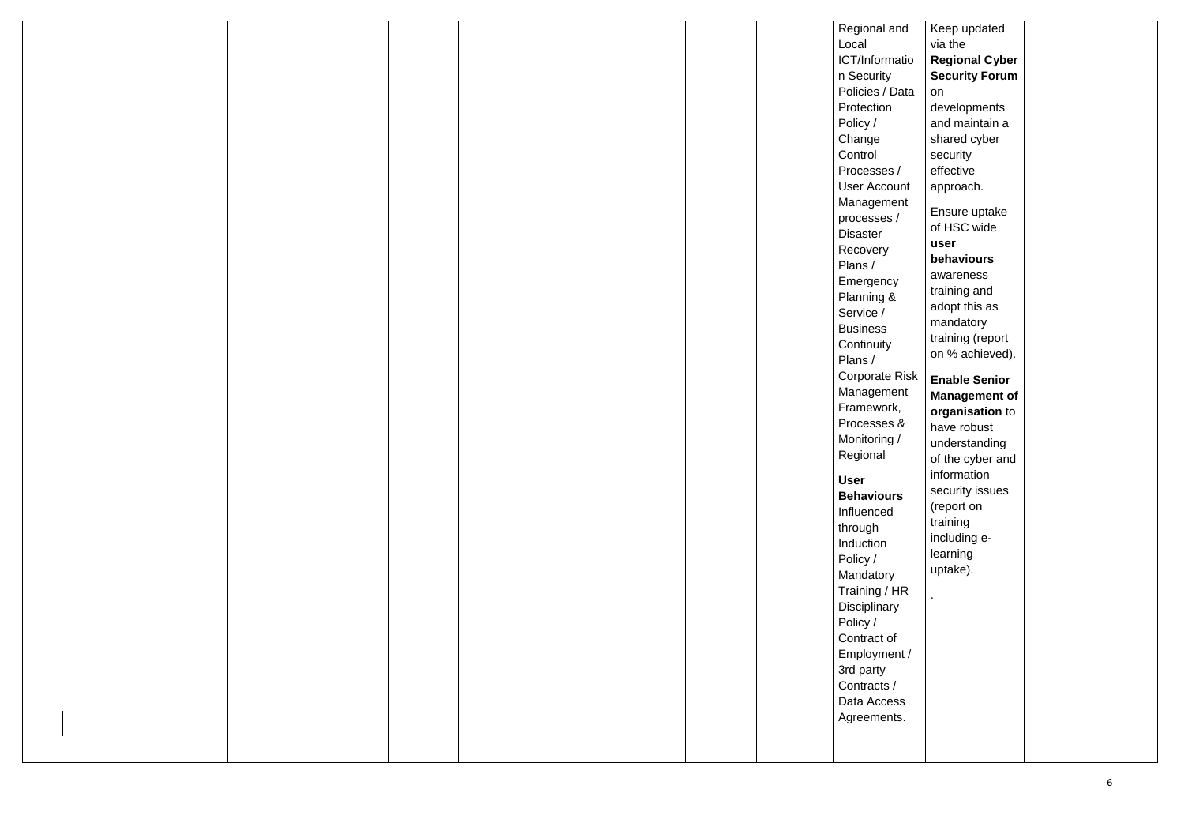| Plans /<br>Service /<br><b>Business</b><br>Plans /<br>Regional<br><b>User</b><br>through<br>Induction<br>Policy /<br>Policy /<br>3rd party<br>Contracts / |  | Regional and<br>Local<br>ICT/Informatio<br>n Security<br>Policies / Data<br>Protection<br>Policy /<br>Change<br>Control<br>Processes /<br><b>User Account</b><br>Management<br>processes /<br><b>Disaster</b><br>Recovery<br>Emergency<br>Planning &<br>Continuity<br><b>Corporate Risk</b><br>Management<br>Framework,<br>Processes &<br>Monitoring /<br><b>Behaviours</b><br>Influenced<br>Mandatory<br>Training / HR<br>Disciplinary<br>Contract of<br>Employment / |
|-----------------------------------------------------------------------------------------------------------------------------------------------------------|--|------------------------------------------------------------------------------------------------------------------------------------------------------------------------------------------------------------------------------------------------------------------------------------------------------------------------------------------------------------------------------------------------------------------------------------------------------------------------|
|-----------------------------------------------------------------------------------------------------------------------------------------------------------|--|------------------------------------------------------------------------------------------------------------------------------------------------------------------------------------------------------------------------------------------------------------------------------------------------------------------------------------------------------------------------------------------------------------------------------------------------------------------------|

| nd                                    | Keep updated<br>via the                                                                                                                                                                                                                            |  |
|---------------------------------------|----------------------------------------------------------------------------------------------------------------------------------------------------------------------------------------------------------------------------------------------------|--|
| atio                                  | <b>Regional Cyber</b><br><b>Security Forum</b>                                                                                                                                                                                                     |  |
| )ata<br>$\sqrt{2}$<br>unt<br>ent<br>I | on<br>developments<br>and maintain a<br>shared cyber<br>security<br>effective<br>approach.<br>Ensure uptake<br>of HSC wide<br>user<br>behaviours<br>awareness<br>training and<br>adopt this as<br>mandatory<br>training (report<br>on % achieved). |  |
| Risk                                  | <b>Enable Senior</b>                                                                                                                                                                                                                               |  |
| ent<br>٢,<br>&<br>$\sqrt{2}$<br>'S    | Management of<br>organisation to<br>have robust<br>understanding<br>of the cyber and<br>information<br>security issues<br>(report on<br>training<br>including e-<br>learning<br>uptake).                                                           |  |
|                                       |                                                                                                                                                                                                                                                    |  |
| HR<br>ý<br>f<br>nt /                  |                                                                                                                                                                                                                                                    |  |
| SS<br>ts.                             |                                                                                                                                                                                                                                                    |  |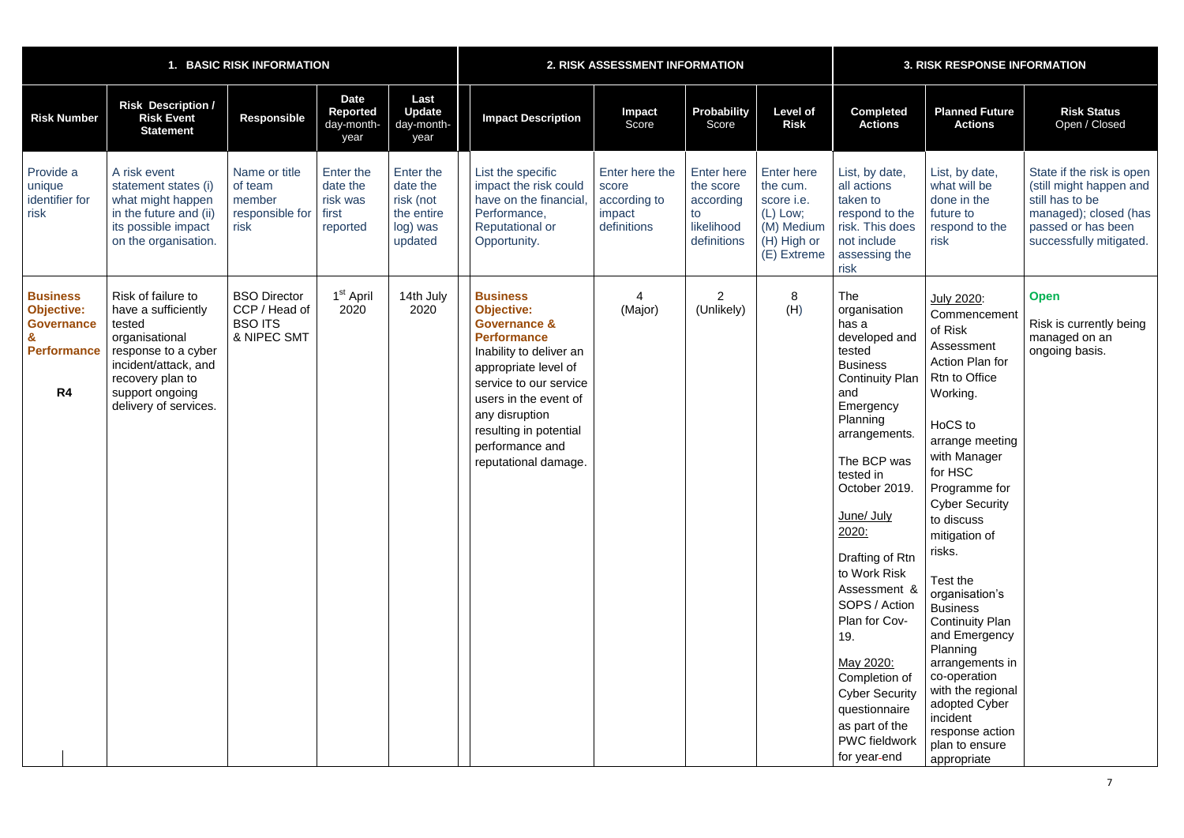|                                                                                                   |                                                                                                                                                                                      | <b>BASIC RISK INFORMATION</b>                                         |                                                        |                                                                         | 2. RISK ASSESSMENT INFORMATION                                                                                                                                                                                                                                                     |                                                                  |                                                                                |                                                                                                            | <b>3. RISK RESPONSE INFORMATION</b>                                                                                                                                                                                                                                                                                                                                                                                                                            |                                                                                                                                                                                                                                                                                                                                                                                                                                                                                                  |                                                                                                                                                   |  |
|---------------------------------------------------------------------------------------------------|--------------------------------------------------------------------------------------------------------------------------------------------------------------------------------------|-----------------------------------------------------------------------|--------------------------------------------------------|-------------------------------------------------------------------------|------------------------------------------------------------------------------------------------------------------------------------------------------------------------------------------------------------------------------------------------------------------------------------|------------------------------------------------------------------|--------------------------------------------------------------------------------|------------------------------------------------------------------------------------------------------------|----------------------------------------------------------------------------------------------------------------------------------------------------------------------------------------------------------------------------------------------------------------------------------------------------------------------------------------------------------------------------------------------------------------------------------------------------------------|--------------------------------------------------------------------------------------------------------------------------------------------------------------------------------------------------------------------------------------------------------------------------------------------------------------------------------------------------------------------------------------------------------------------------------------------------------------------------------------------------|---------------------------------------------------------------------------------------------------------------------------------------------------|--|
| <b>Risk Number</b>                                                                                | <b>Risk Description /</b><br><b>Risk Event</b><br><b>Statement</b>                                                                                                                   | <b>Responsible</b>                                                    | <b>Date</b><br><b>Reported</b><br>day-month-<br>year   | Last<br><b>Update</b><br>day-month-<br>year                             | <b>Impact Description</b>                                                                                                                                                                                                                                                          | Impact<br>Score                                                  | <b>Probability</b><br>Score                                                    | <b>Level of</b><br><b>Risk</b>                                                                             | <b>Completed</b><br><b>Actions</b>                                                                                                                                                                                                                                                                                                                                                                                                                             | <b>Planned Future</b><br><b>Actions</b>                                                                                                                                                                                                                                                                                                                                                                                                                                                          | <b>Risk Status</b><br>Open / Closed                                                                                                               |  |
| Provide a<br>unique<br>identifier for<br>risk                                                     | A risk event<br>statement states (i)<br>what might happen<br>in the future and (ii)<br>its possible impact<br>on the organisation.                                                   | Name or title<br>of team<br>member<br>responsible for<br>risk         | Enter the<br>date the<br>risk was<br>first<br>reported | Enter the<br>date the<br>risk (not<br>the entire<br>log) was<br>updated | List the specific<br>impact the risk could<br>have on the financial<br>Performance,<br><b>Reputational or</b><br>Opportunity.                                                                                                                                                      | Enter here the<br>score<br>according to<br>impact<br>definitions | <b>Enter here</b><br>the score<br>according<br>to<br>likelihood<br>definitions | <b>Enter here</b><br>the cum.<br>score <i>i.e.</i><br>(L) Low;<br>(M) Medium<br>(H) High or<br>(E) Extreme | List, by date,<br>all actions<br>taken to<br>respond to the<br>risk. This does<br>not include<br>assessing the<br>risk                                                                                                                                                                                                                                                                                                                                         | List, by date,<br>what will be<br>done in the<br>future to<br>respond to the<br>risk                                                                                                                                                                                                                                                                                                                                                                                                             | State if the risk is open<br>(still might happen and<br>still has to be<br>managed); closed (has<br>passed or has been<br>successfully mitigated. |  |
| <b>Business</b><br><b>Objective:</b><br><b>Governance</b><br><b>Performance</b><br>R <sub>4</sub> | Risk of failure to<br>have a sufficiently<br>tested<br>organisational<br>response to a cyber<br>incident/attack, and<br>recovery plan to<br>support ongoing<br>delivery of services. | <b>BSO Director</b><br>CCP / Head of<br><b>BSO ITS</b><br>& NIPEC SMT | 1 <sup>st</sup> April<br>2020                          | 14th July<br>2020                                                       | <b>Business</b><br><b>Objective:</b><br><b>Governance &amp;</b><br><b>Performance</b><br>Inability to deliver an<br>appropriate level of<br>service to our service<br>users in the event of<br>any disruption<br>resulting in potential<br>performance and<br>reputational damage. | (Major)                                                          | $\overline{2}$<br>(Unlikely)                                                   | 8<br>(H)                                                                                                   | <b>The</b><br>organisation<br>has a<br>developed and<br>tested<br><b>Business</b><br><b>Continuity Plan</b><br>and<br>Emergency<br>Planning<br>arrangements.<br>The BCP was<br>tested in<br>October 2019.<br>June/ July<br>2020:<br>Drafting of Rtn<br>to Work Risk<br>Assessment &<br>SOPS / Action<br>Plan for Cov-<br>19.<br>May 2020:<br>Completion of<br><b>Cyber Security</b><br>questionnaire<br>as part of the<br><b>PWC fieldwork</b><br>for year-end | July 2020:<br>Commencement<br>of Risk<br>Assessment<br>Action Plan for<br>Rtn to Office<br>Working.<br>HoCS to<br>arrange meeting<br>with Manager<br>for HSC<br>Programme for<br><b>Cyber Security</b><br>to discuss<br>mitigation of<br>risks.<br>Test the<br>organisation's<br><b>Business</b><br><b>Continuity Plan</b><br>and Emergency<br>Planning<br>arrangements in<br>co-operation<br>with the regional<br>adopted Cyber<br>incident<br>response action<br>plan to ensure<br>appropriate | <b>Open</b><br>Risk is currently being<br>managed on an<br>ongoing basis.                                                                         |  |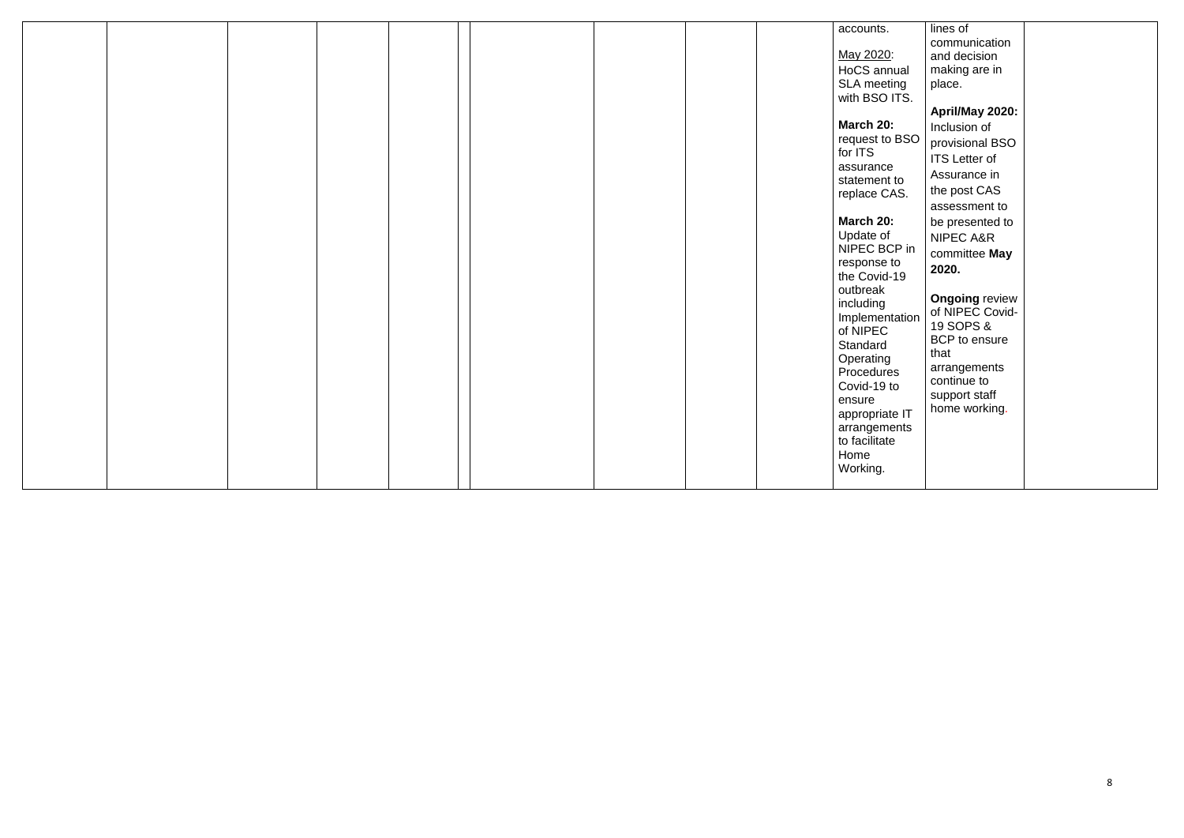|  |  |  |  | accounts.                                                                                                                                                                                                                                               |
|--|--|--|--|---------------------------------------------------------------------------------------------------------------------------------------------------------------------------------------------------------------------------------------------------------|
|  |  |  |  | May 2020:<br>HoCS annual<br>SLA meeting<br>with BSO ITS.                                                                                                                                                                                                |
|  |  |  |  | March 20:<br>request to BSO<br>for ITS<br>assurance<br>statement to<br>replace CAS.                                                                                                                                                                     |
|  |  |  |  | March 20:<br>Update of<br>NIPEC BCP in<br>response to<br>the Covid-19<br>outbreak<br>including<br>Implementation<br>of NIPEC<br>Standard<br>Operating<br>Procedures<br>Covid-19 to<br>ensure<br>appropriate IT<br>arrangements<br>to facilitate<br>Home |
|  |  |  |  | Working.                                                                                                                                                                                                                                                |

| ual<br>ng<br>TS. | lines of<br>communication<br>and decision<br>making are in<br>place.                  |  |
|------------------|---------------------------------------------------------------------------------------|--|
|                  | April/May 2020:                                                                       |  |
| <b>BSO</b>       | Inclusion of<br>provisional BSO                                                       |  |
|                  | <b>ITS</b> Letter of                                                                  |  |
| to<br>S.         | Assurance in<br>the post CAS                                                          |  |
|                  | assessment to                                                                         |  |
|                  | be presented to<br><b>NIPEC A&amp;R</b>                                               |  |
| P in<br>0<br>19  | committee May<br>2020.                                                                |  |
| ation            | <b>Ongoing review</b><br>of NIPEC Covid-<br>19 SOPS &<br><b>BCP</b> to ensure<br>that |  |
| S<br>Ć           | arrangements<br>continue to<br>support staff                                          |  |
| Fl e<br>nts      | home working.                                                                         |  |
|                  |                                                                                       |  |
|                  |                                                                                       |  |
|                  |                                                                                       |  |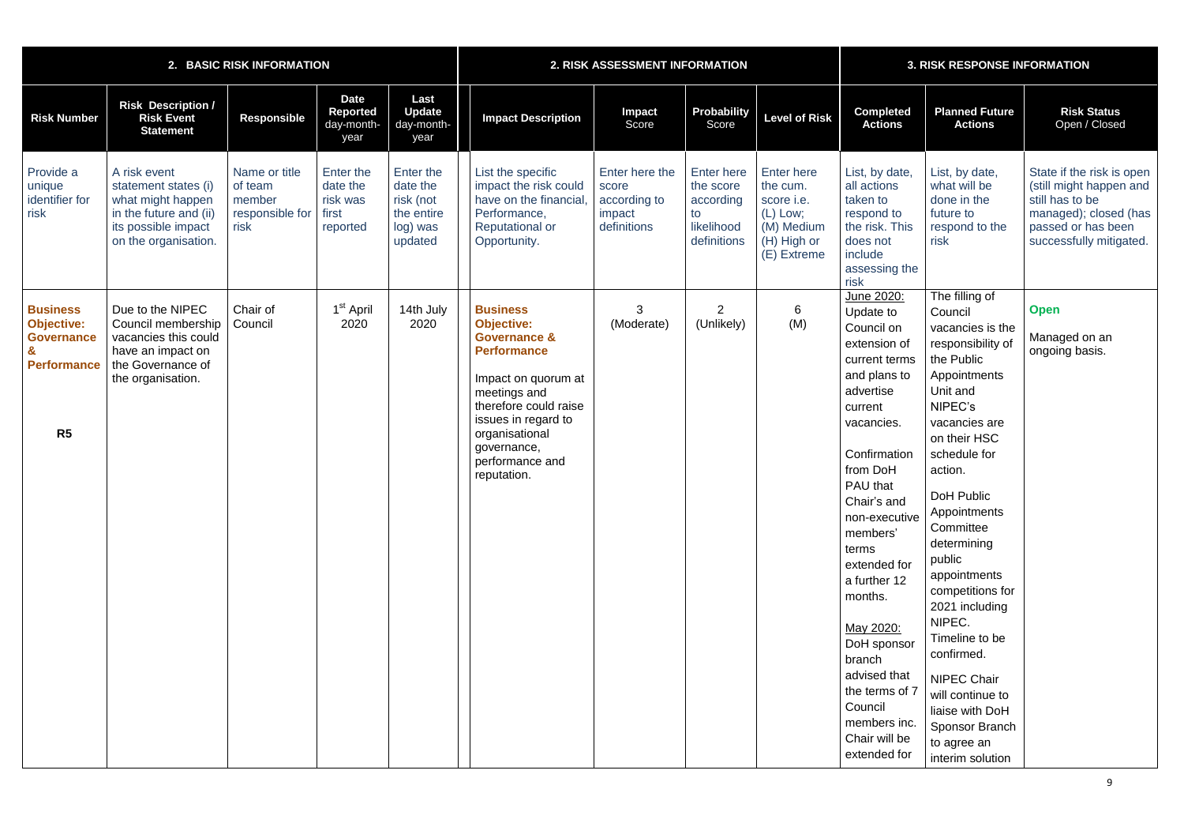|                                                                                       |                                                                                                                                    | 2. BASIC RISK INFORMATION                                     |                                                        |                                                                         | 2. RISK ASSESSMENT INFORMATION                                                                                                                                                                                                                  |                                                                  |                                                                                |                                                                                                     | <b>3. RISK RESPONSE INFORMATION</b>                                                                                                                                                                                                                                                                                                                                                                      |                                                                                                                                                                                                                                                                                                                                                                                                                                                                           |                                                                                                                                                   |  |
|---------------------------------------------------------------------------------------|------------------------------------------------------------------------------------------------------------------------------------|---------------------------------------------------------------|--------------------------------------------------------|-------------------------------------------------------------------------|-------------------------------------------------------------------------------------------------------------------------------------------------------------------------------------------------------------------------------------------------|------------------------------------------------------------------|--------------------------------------------------------------------------------|-----------------------------------------------------------------------------------------------------|----------------------------------------------------------------------------------------------------------------------------------------------------------------------------------------------------------------------------------------------------------------------------------------------------------------------------------------------------------------------------------------------------------|---------------------------------------------------------------------------------------------------------------------------------------------------------------------------------------------------------------------------------------------------------------------------------------------------------------------------------------------------------------------------------------------------------------------------------------------------------------------------|---------------------------------------------------------------------------------------------------------------------------------------------------|--|
| <b>Risk Number</b>                                                                    | <b>Risk Description /</b><br><b>Risk Event</b><br><b>Statement</b>                                                                 | Responsible                                                   | <b>Date</b><br><b>Reported</b><br>day-month-<br>year   | Last<br><b>Update</b><br>day-month-<br>year                             | <b>Impact Description</b>                                                                                                                                                                                                                       | Impact<br>Score                                                  | Probability<br>Score                                                           | <b>Level of Risk</b>                                                                                | <b>Completed</b><br><b>Actions</b>                                                                                                                                                                                                                                                                                                                                                                       | <b>Planned Future</b><br><b>Actions</b>                                                                                                                                                                                                                                                                                                                                                                                                                                   | <b>Risk Status</b><br>Open / Closed                                                                                                               |  |
| Provide a<br>unique<br>identifier for<br>risk                                         | A risk event<br>statement states (i)<br>what might happen<br>in the future and (ii)<br>its possible impact<br>on the organisation. | Name or title<br>of team<br>member<br>responsible for<br>risk | Enter the<br>date the<br>risk was<br>first<br>reported | Enter the<br>date the<br>risk (not<br>the entire<br>log) was<br>updated | List the specific<br>impact the risk could<br>have on the financial<br>Performance,<br><b>Reputational or</b><br>Opportunity.                                                                                                                   | Enter here the<br>score<br>according to<br>impact<br>definitions | <b>Enter here</b><br>the score<br>according<br>to<br>likelihood<br>definitions | <b>Enter here</b><br>the cum.<br>score i.e.<br>(L) Low;<br>(M) Medium<br>(H) High or<br>(E) Extreme | List, by date,<br>all actions<br>taken to<br>respond to<br>the risk. This<br>does not<br>include<br>assessing the<br>risk                                                                                                                                                                                                                                                                                | List, by date,<br>what will be<br>done in the<br>future to<br>respond to the<br>risk                                                                                                                                                                                                                                                                                                                                                                                      | State if the risk is open<br>(still might happen and<br>still has to be<br>managed); closed (has<br>passed or has been<br>successfully mitigated. |  |
| <b>Business</b><br><b>Objective:</b><br><b>Governance</b><br><b>Performance</b><br>R5 | Due to the NIPEC<br>Council membership<br>vacancies this could<br>have an impact on<br>the Governance of<br>the organisation.      | Chair of<br>Council                                           | 1 <sup>st</sup> April<br>2020                          | 14th July<br>2020                                                       | <b>Business</b><br><b>Objective:</b><br><b>Governance &amp;</b><br><b>Performance</b><br>Impact on quorum at<br>meetings and<br>therefore could raise<br>issues in regard to<br>organisational<br>governance,<br>performance and<br>reputation. | 3<br>(Moderate)                                                  | $\overline{2}$<br>(Unlikely)                                                   | 6<br>(M)                                                                                            | June 2020:<br>Update to<br>Council on<br>extension of<br>current terms<br>and plans to<br>advertise<br>current<br>vacancies.<br>Confirmation<br>from DoH<br>PAU that<br>Chair's and<br>non-executive<br>members'<br>terms<br>extended for<br>a further 12<br>months.<br>May 2020:<br>DoH sponsor<br>branch<br>advised that<br>the terms of 7<br>Council<br>members inc.<br>Chair will be<br>extended for | The filling of<br>Council<br>vacancies is the<br>responsibility of<br>the Public<br>Appointments<br>Unit and<br>NIPEC's<br>vacancies are<br>on their HSC<br>schedule for<br>action.<br>DoH Public<br>Appointments<br>Committee<br>determining<br>public<br>appointments<br>competitions for<br>2021 including<br>NIPEC.<br>Timeline to be<br>confirmed.<br><b>NIPEC Chair</b><br>will continue to<br>liaise with DoH<br>Sponsor Branch<br>to agree an<br>interim solution | <b>Open</b><br>Managed on an<br>ongoing basis.                                                                                                    |  |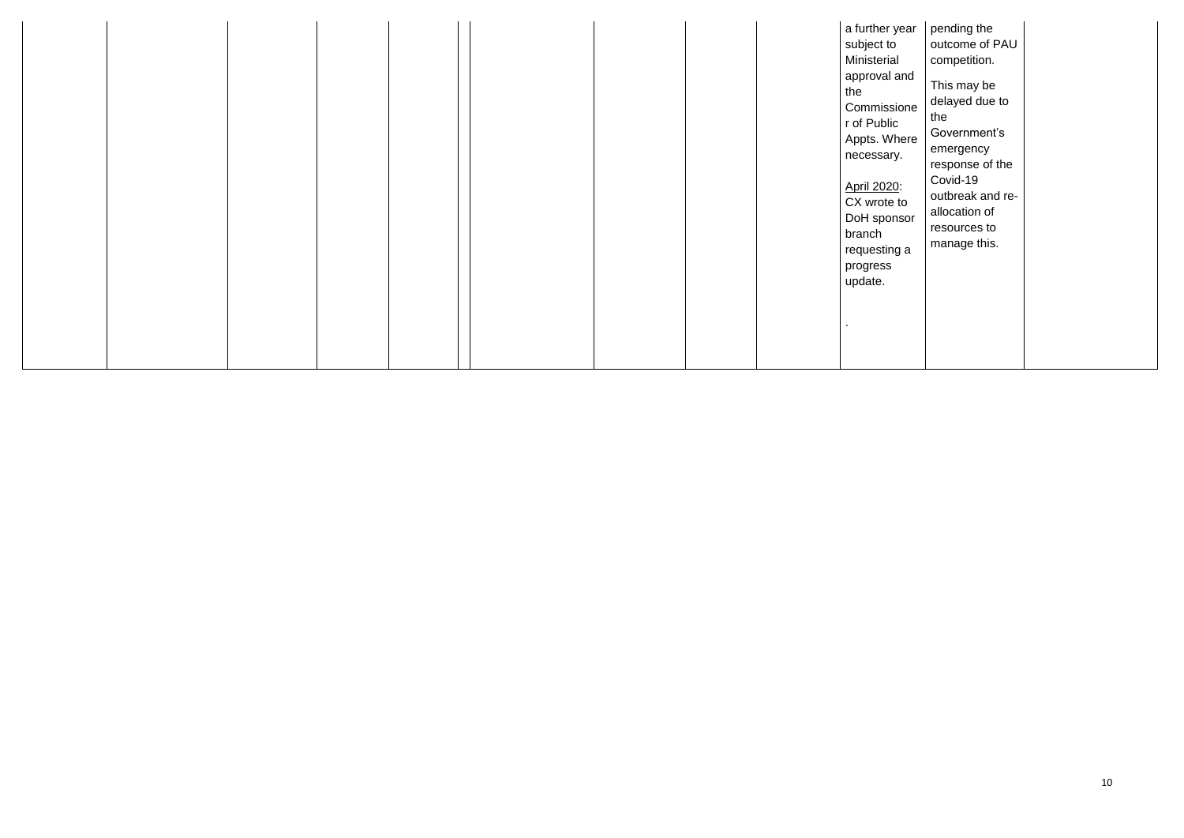|  |  | a further year<br>subject to<br>Ministerial<br>approval and<br>the<br>Commissione<br>r of Public<br>Appts. Where<br>necessary. |
|--|--|--------------------------------------------------------------------------------------------------------------------------------|
|  |  | April 2020:<br>CX wrote to<br>DoH sponsor<br>branch<br>requesting a<br>progress<br>update.                                     |
|  |  |                                                                                                                                |

| year        | pending the                 |
|-------------|-----------------------------|
| o           | outcome of PAU              |
| al          | competition.                |
| l and       |                             |
|             | This may be                 |
| sione       | delayed due to              |
| ic          | the                         |
| here/       | Government's                |
| ry.         | emergency                   |
|             | response of the<br>Covid-19 |
| <u> 20:</u> |                             |
| e to        | outbreak and re-            |
| nsor        | allocation of               |
|             | resources to                |
| ng a        | manage this.                |
|             |                             |
|             |                             |
|             |                             |
|             |                             |
|             |                             |
|             |                             |
|             |                             |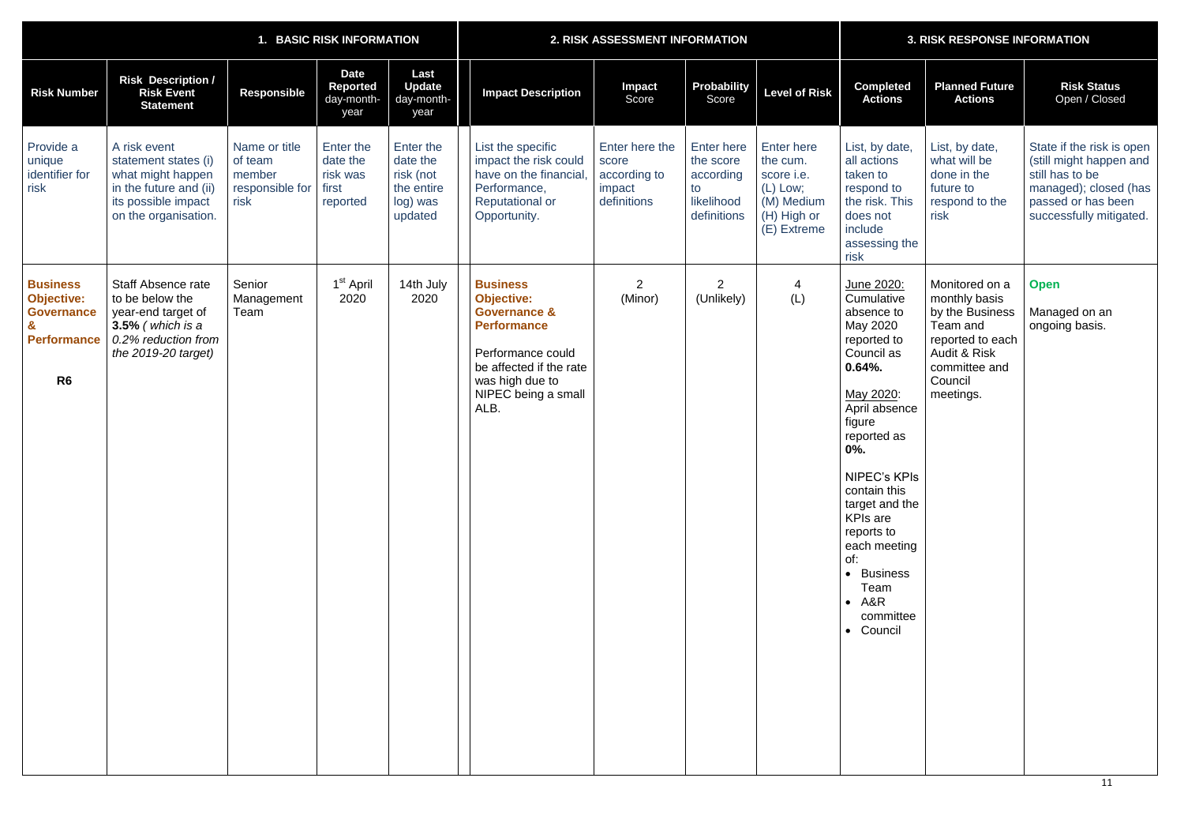| 1. BASIC RISK INFORMATION                                                                         |                                                                                                                                    |                                                               |                                                        | 2. RISK ASSESSMENT INFORMATION                                          |                                                                                                                                                                                         |                                                                  |                                                                                | <b>3. RISK RESPONSE INFORMATION</b>                                                                   |                                                                                                                                                                                                                                                                                                                                        |                                                                                                                                                        |                                                                                                                                                   |
|---------------------------------------------------------------------------------------------------|------------------------------------------------------------------------------------------------------------------------------------|---------------------------------------------------------------|--------------------------------------------------------|-------------------------------------------------------------------------|-----------------------------------------------------------------------------------------------------------------------------------------------------------------------------------------|------------------------------------------------------------------|--------------------------------------------------------------------------------|-------------------------------------------------------------------------------------------------------|----------------------------------------------------------------------------------------------------------------------------------------------------------------------------------------------------------------------------------------------------------------------------------------------------------------------------------------|--------------------------------------------------------------------------------------------------------------------------------------------------------|---------------------------------------------------------------------------------------------------------------------------------------------------|
| <b>Risk Number</b>                                                                                | <b>Risk Description /</b><br><b>Risk Event</b><br><b>Statement</b>                                                                 | <b>Responsible</b>                                            | <b>Date</b><br>Reported<br>day-month-<br>year          | Last<br><b>Update</b><br>day-month-<br>year                             | <b>Impact Description</b>                                                                                                                                                               | <b>Impact</b><br>Score                                           | <b>Probability</b><br>Score                                                    | <b>Level of Risk</b>                                                                                  | <b>Completed</b><br><b>Actions</b>                                                                                                                                                                                                                                                                                                     | <b>Planned Future</b><br><b>Actions</b>                                                                                                                | <b>Risk Status</b><br>Open / Closed                                                                                                               |
| Provide a<br>unique<br>identifier for<br>risk                                                     | A risk event<br>statement states (i)<br>what might happen<br>in the future and (ii)<br>its possible impact<br>on the organisation. | Name or title<br>of team<br>member<br>responsible for<br>risk | Enter the<br>date the<br>risk was<br>first<br>reported | Enter the<br>date the<br>risk (not<br>the entire<br>log) was<br>updated | List the specific<br>impact the risk could<br>have on the financial<br>Performance,<br><b>Reputational or</b><br>Opportunity.                                                           | Enter here the<br>score<br>according to<br>impact<br>definitions | <b>Enter here</b><br>the score<br>according<br>to<br>likelihood<br>definitions | <b>Enter here</b><br>the cum.<br>score i.e.<br>$(L)$ Low;<br>(M) Medium<br>(H) High or<br>(E) Extreme | List, by date,<br>all actions<br>taken to<br>respond to<br>the risk. This<br>does not<br>include<br>assessing the<br>risk                                                                                                                                                                                                              | List, by date,<br>what will be<br>done in the<br>future to<br>respond to the<br>risk                                                                   | State if the risk is open<br>(still might happen and<br>still has to be<br>managed); closed (has<br>passed or has been<br>successfully mitigated. |
| <b>Business</b><br><b>Objective:</b><br><b>Governance</b><br><b>Performance</b><br>R <sub>6</sub> | Staff Absence rate<br>to be below the<br>year-end target of<br>$3.5\%$ (which is a<br>0.2% reduction from<br>the $2019-20$ target) | Senior<br>Management<br>Team                                  | 1 <sup>st</sup> April<br>2020                          | 14th July<br>2020                                                       | <b>Business</b><br><b>Objective:</b><br><b>Governance &amp;</b><br><b>Performance</b><br>Performance could<br>be affected if the rate<br>was high due to<br>NIPEC being a small<br>ALB. | 2<br>(Minor)                                                     | $\overline{2}$<br>(Unlikely)                                                   | 4<br>(L)                                                                                              | June 2020:<br>Cumulative<br>absence to<br>May 2020<br>reported to<br>Council as<br>$0.64%$ .<br>May 2020:<br>April absence<br>figure<br>reported as<br>0%.<br><b>NIPEC's KPIs</b><br>contain this<br>target and the<br><b>KPIs are</b><br>reports to<br>each meeting<br>of:<br>• Business<br>Team<br>$- A&R$<br>committee<br>• Council | Monitored on a<br>monthly basis<br>by the Business<br>Team and<br>reported to each<br><b>Audit &amp; Risk</b><br>committee and<br>Council<br>meetings. | <b>Open</b><br>Managed on an<br>ongoing basis.                                                                                                    |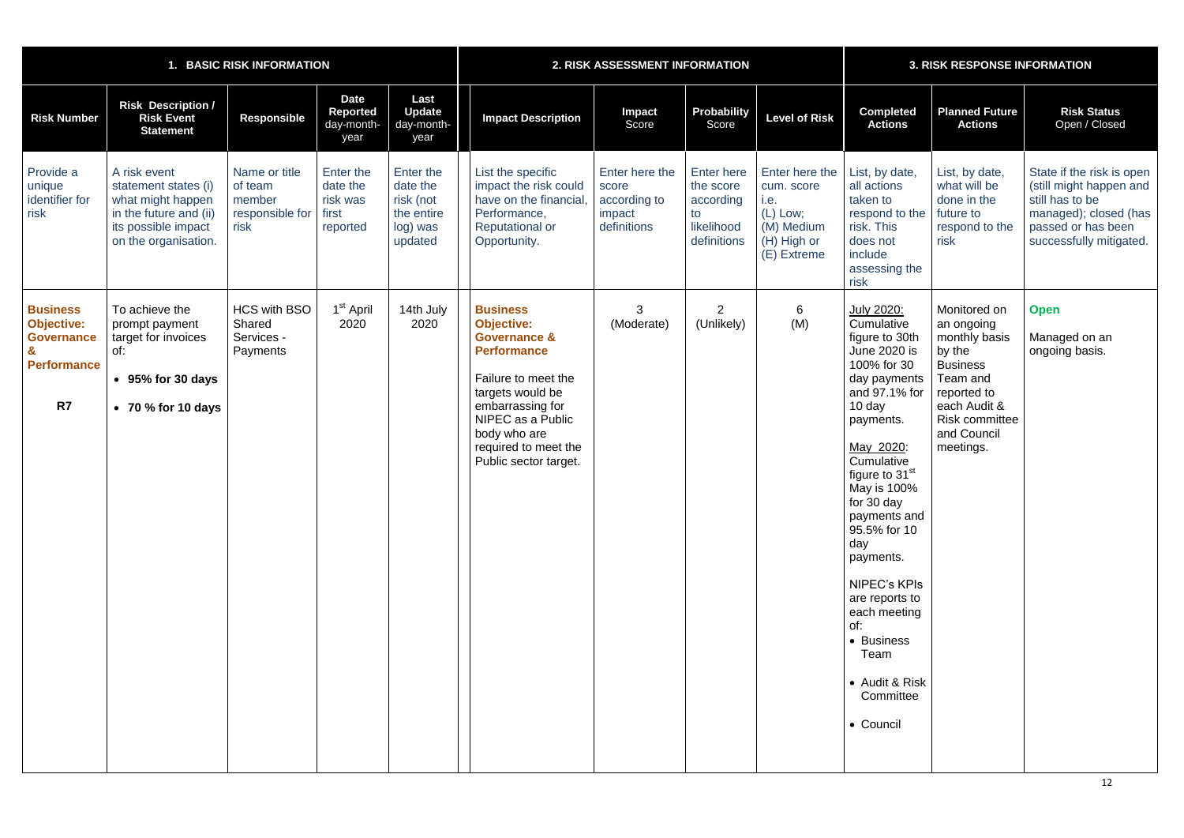|                                                                                       |                                                                                                                                    | 1. BASIC RISK INFORMATION                                     |                                                        |                                                                         | 2. RISK ASSESSMENT INFORMATION                                                                                                                                                                                                             |                                                                  |                                                                                |                                                                                              | <b>3. RISK RESPONSE INFORMATION</b>                                                                                                                                                                                                                                                                                                                                                                                  |                                                                                                                                                                          |                                                                                                                                                   |
|---------------------------------------------------------------------------------------|------------------------------------------------------------------------------------------------------------------------------------|---------------------------------------------------------------|--------------------------------------------------------|-------------------------------------------------------------------------|--------------------------------------------------------------------------------------------------------------------------------------------------------------------------------------------------------------------------------------------|------------------------------------------------------------------|--------------------------------------------------------------------------------|----------------------------------------------------------------------------------------------|----------------------------------------------------------------------------------------------------------------------------------------------------------------------------------------------------------------------------------------------------------------------------------------------------------------------------------------------------------------------------------------------------------------------|--------------------------------------------------------------------------------------------------------------------------------------------------------------------------|---------------------------------------------------------------------------------------------------------------------------------------------------|
| <b>Risk Number</b>                                                                    | <b>Risk Description /</b><br><b>Risk Event</b><br><b>Statement</b>                                                                 | <b>Responsible</b>                                            | <b>Date</b><br>Reported<br>day-month-<br>year          | Last<br><b>Update</b><br>day-month-<br>year                             | <b>Impact Description</b>                                                                                                                                                                                                                  | <b>Impact</b><br>Score                                           | Probability<br>Score                                                           | <b>Level of Risk</b>                                                                         | <b>Completed</b><br><b>Actions</b>                                                                                                                                                                                                                                                                                                                                                                                   | <b>Planned Future</b><br><b>Actions</b>                                                                                                                                  | <b>Risk Status</b><br>Open / Closed                                                                                                               |
| Provide a<br>unique<br>identifier for<br>risk                                         | A risk event<br>statement states (i)<br>what might happen<br>in the future and (ii)<br>its possible impact<br>on the organisation. | Name or title<br>of team<br>member<br>responsible for<br>risk | Enter the<br>date the<br>risk was<br>first<br>reported | Enter the<br>date the<br>risk (not<br>the entire<br>log) was<br>updated | List the specific<br>impact the risk could<br>have on the financial<br>Performance,<br><b>Reputational or</b><br>Opportunity.                                                                                                              | Enter here the<br>score<br>according to<br>impact<br>definitions | <b>Enter here</b><br>the score<br>according<br>to<br>likelihood<br>definitions | Enter here the<br>cum. score<br>i.e.<br>(L) Low;<br>(M) Medium<br>(H) High or<br>(E) Extreme | List, by date,<br>all actions<br>taken to<br>respond to the<br>risk. This<br>does not<br>include<br>assessing the<br>risk                                                                                                                                                                                                                                                                                            | List, by date,<br>what will be<br>done in the<br>future to<br>respond to the<br>risk                                                                                     | State if the risk is open<br>(still might happen and<br>still has to be<br>managed); closed (has<br>passed or has been<br>successfully mitigated. |
| <b>Business</b><br><b>Objective:</b><br><b>Governance</b><br><b>Performance</b><br>R7 | To achieve the<br>prompt payment<br>target for invoices<br>of:<br>$\cdot$ 95% for 30 days<br>$\bullet$ 70 % for 10 days            | <b>HCS with BSO</b><br>Shared<br>Services -<br>Payments       | 1 <sup>st</sup> April<br>2020                          | 14th July<br>2020                                                       | <b>Business</b><br><b>Objective:</b><br><b>Governance &amp;</b><br><b>Performance</b><br>Failure to meet the<br>targets would be<br>embarrassing for<br>NIPEC as a Public<br>body who are<br>required to meet the<br>Public sector target. | 3<br>(Moderate)                                                  | $\overline{2}$<br>(Unlikely)                                                   | $6\phantom{1}$<br>(M)                                                                        | July 2020:<br>Cumulative<br>figure to 30th<br><b>June 2020 is</b><br>100% for 30<br>day payments<br>and 97.1% for<br>10 day<br>payments.<br>May 2020:<br>Cumulative<br>figure to 31 <sup>st</sup><br>May is 100%<br>for 30 day<br>payments and<br>95.5% for 10<br>day<br>payments.<br><b>NIPEC's KPIs</b><br>are reports to<br>each meeting<br>of:<br>• Business<br>Team<br>• Audit & Risk<br>Committee<br>• Council | Monitored on<br>an ongoing<br>monthly basis<br>by the<br><b>Business</b><br>Team and<br>reported to<br>each Audit &<br><b>Risk committee</b><br>and Council<br>meetings. | <b>Open</b><br>Managed on an<br>ongoing basis.                                                                                                    |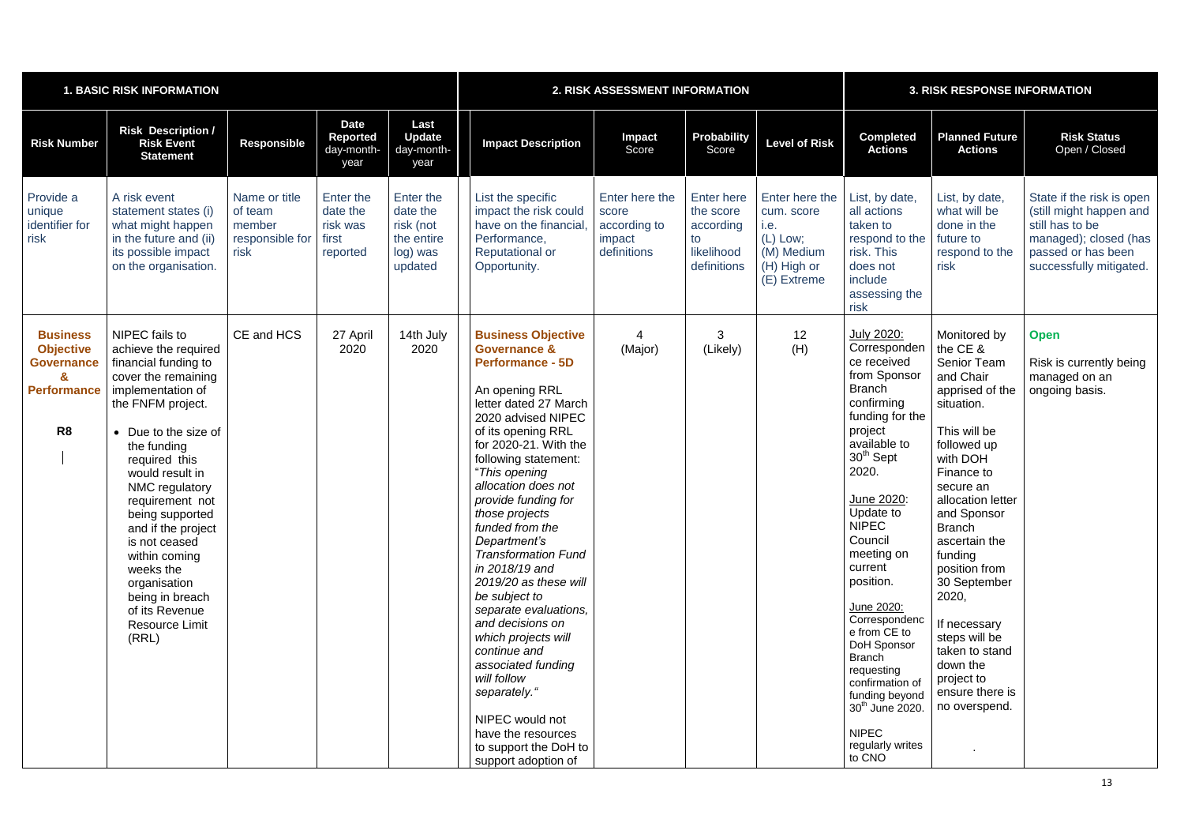| <b>1. BASIC RISK INFORMATION</b>                                                                      |                                                                                                                                                                                                                                                                                                                                                                                                                                |                                                               |                                                               | 2. RISK ASSESSMENT INFORMATION                                          |                                                                                                                                                                                                                                                                                                                                                                                                                                                                                                                                                                                                                                                                         |                                                                  |                                                                                | <b>3. RISK RESPONSE INFORMATION</b>                                                          |                                                                                                                                                                                                                                                                                                                                                                                                                                                                                            |                                                                                                                                                                                                                                                                                                                                                                                                                |                                                                                                                                                   |
|-------------------------------------------------------------------------------------------------------|--------------------------------------------------------------------------------------------------------------------------------------------------------------------------------------------------------------------------------------------------------------------------------------------------------------------------------------------------------------------------------------------------------------------------------|---------------------------------------------------------------|---------------------------------------------------------------|-------------------------------------------------------------------------|-------------------------------------------------------------------------------------------------------------------------------------------------------------------------------------------------------------------------------------------------------------------------------------------------------------------------------------------------------------------------------------------------------------------------------------------------------------------------------------------------------------------------------------------------------------------------------------------------------------------------------------------------------------------------|------------------------------------------------------------------|--------------------------------------------------------------------------------|----------------------------------------------------------------------------------------------|--------------------------------------------------------------------------------------------------------------------------------------------------------------------------------------------------------------------------------------------------------------------------------------------------------------------------------------------------------------------------------------------------------------------------------------------------------------------------------------------|----------------------------------------------------------------------------------------------------------------------------------------------------------------------------------------------------------------------------------------------------------------------------------------------------------------------------------------------------------------------------------------------------------------|---------------------------------------------------------------------------------------------------------------------------------------------------|
| <b>Risk Number</b>                                                                                    | <b>Risk Description /</b><br><b>Risk Event</b><br><b>Statement</b>                                                                                                                                                                                                                                                                                                                                                             | <b>Responsible</b>                                            | <b>Date</b><br>Reported<br>day-month-<br>year                 | Last<br><b>Update</b><br>day-month-<br>year                             | <b>Impact Description</b>                                                                                                                                                                                                                                                                                                                                                                                                                                                                                                                                                                                                                                               | Impact<br>Score                                                  | Probability<br>Score                                                           | <b>Level of Risk</b>                                                                         | <b>Completed</b><br><b>Actions</b>                                                                                                                                                                                                                                                                                                                                                                                                                                                         | <b>Planned Future</b><br><b>Actions</b>                                                                                                                                                                                                                                                                                                                                                                        | <b>Risk Status</b><br>Open / Closed                                                                                                               |
| Provide a<br>unique<br>identifier for<br>risk                                                         | A risk event<br>statement states (i)<br>what might happen<br>in the future and (ii)<br>its possible impact<br>on the organisation.                                                                                                                                                                                                                                                                                             | Name or title<br>of team<br>member<br>responsible for<br>risk | <b>Enter the</b><br>date the<br>risk was<br>first<br>reported | Enter the<br>date the<br>risk (not<br>the entire<br>log) was<br>updated | List the specific<br>impact the risk could<br>have on the financial,<br>Performance,<br><b>Reputational or</b><br>Opportunity.                                                                                                                                                                                                                                                                                                                                                                                                                                                                                                                                          | Enter here the<br>score<br>according to<br>impact<br>definitions | <b>Enter here</b><br>the score<br>according<br>to<br>likelihood<br>definitions | Enter here the<br>cum. score<br>i.e.<br>(L) Low;<br>(M) Medium<br>(H) High or<br>(E) Extreme | List, by date,<br>all actions<br>taken to<br>respond to the<br>risk. This<br>does not<br>include<br>assessing the<br>risk                                                                                                                                                                                                                                                                                                                                                                  | List, by date,<br>what will be<br>done in the<br>future to<br>respond to the<br>risk                                                                                                                                                                                                                                                                                                                           | State if the risk is open<br>(still might happen and<br>still has to be<br>managed); closed (has<br>passed or has been<br>successfully mitigated. |
| <b>Business</b><br><b>Objective</b><br><b>Governance</b><br>&<br><b>Performance</b><br>R <sub>8</sub> | NIPEC fails to<br>achieve the required<br>financial funding to<br>cover the remaining<br>implementation of<br>the FNFM project.<br>• Due to the size of<br>the funding<br>required this<br>would result in<br>NMC regulatory<br>requirement not<br>being supported<br>and if the project<br>is not ceased<br>within coming<br>weeks the<br>organisation<br>being in breach<br>of its Revenue<br><b>Resource Limit</b><br>(RRL) | CE and HCS                                                    | 27 April<br>2020                                              | 14th July<br>2020                                                       | <b>Business Objective</b><br><b>Governance &amp;</b><br><b>Performance - 5D</b><br>An opening RRL<br>letter dated 27 March<br>2020 advised NIPEC<br>of its opening RRL<br>for 2020-21. With the<br>following statement:<br>"This opening<br>allocation does not<br>provide funding for<br>those projects<br>funded from the<br>Department's<br><b>Transformation Fund</b><br>in 2018/19 and<br>2019/20 as these will<br>be subject to<br>separate evaluations,<br>and decisions on<br>which projects will<br>continue and<br>associated funding<br>will follow<br>separately."<br>NIPEC would not<br>have the resources<br>to support the DoH to<br>support adoption of | (Major)                                                          | 3<br>(Likely)                                                                  | 12<br>(H)                                                                                    | <u>July 2020:</u><br>Corresponden<br>ce received<br>from Sponsor<br><b>Branch</b><br>confirming<br>funding for the<br>project<br>available to<br>30 <sup>th</sup> Sept<br>2020.<br>June 2020:<br>Update to<br><b>NIPEC</b><br>Council<br>meeting on<br>current<br>position.<br>June 2020:<br>Correspondenc<br>e from CE to<br>DoH Sponsor<br><b>Branch</b><br>requesting<br>confirmation of<br>funding beyond<br>30 <sup>th</sup> June 2020.<br><b>NIPEC</b><br>regularly writes<br>to CNO | Monitored by<br>the CE &<br><b>Senior Team</b><br>and Chair<br>apprised of the<br>situation.<br>This will be<br>followed up<br>with DOH<br>Finance to<br>secure an<br>allocation letter<br>and Sponsor<br><b>Branch</b><br>ascertain the<br>funding<br>position from<br>30 September<br>2020,<br>If necessary<br>steps will be<br>taken to stand<br>down the<br>project to<br>ensure there is<br>no overspend. | <b>Open</b><br>Risk is currently being<br>managed on an<br>ongoing basis.                                                                         |